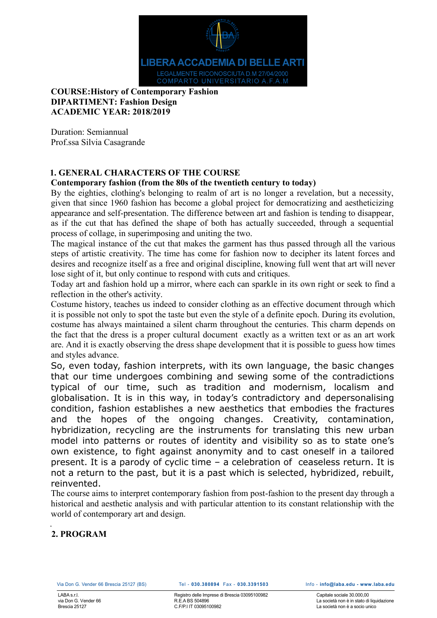

## **COURSE:History of Contemporary Fashion DIPARTIMENT: Fashion Design ACADEMIC YEAR: 2018/2019**

Duration: Semiannual Prof.ssa Silvia Casagrande

## **1. GENERAL CHARACTERS OF THE COURSE**

#### **Contemporary fashion (from the 80s of the twentieth century to today)**

By the eighties, clothing's belonging to realm of art is no longer a revelation, but a necessity, given that since 1960 fashion has become a global project for democratizing and aestheticizing appearance and self-presentation. The difference between art and fashion is tending to disappear, as if the cut that has defined the shape of both has actually succeeded, through a sequential process of collage, in superimposing and uniting the two.

The magical instance of the cut that makes the garment has thus passed through all the various steps of artistic creativity. The time has come for fashion now to decipher its latent forces and desires and recognize itself as a free and original discipline, knowing full went that art will never lose sight of it, but only continue to respond with cuts and critiques.

Today art and fashion hold up a mirror, where each can sparkle in its own right or seek to find a reflection in the other's activity.

Costume history, teaches us indeed to consider clothing as an effective document through which it is possible not only to spot the taste but even the style of a definite epoch. During its evolution, costume has always maintained a silent charm throughout the centuries. This charm depends on the fact that the dress is a proper cultural document exactly as a written text or as an art work are. And it is exactly observing the dress shape development that it is possible to guess how times and styles advance.

So, even today, fashion interprets, with its own language, the basic changes that our time undergoes combining and sewing some of the contradictions typical of our time, such as tradition and modernism, localism and globalisation. It is in this way, in today's contradictory and depersonalising condition, fashion establishes a new aesthetics that embodies the fractures and the hopes of the ongoing changes. Creativity, contamination, hybridization, recycling are the instruments for translating this new urban model into patterns or routes of identity and visibility so as to state one's own existence, to fight against anonymity and to cast oneself in a tailored present. It is a parody of cyclic time – a celebration of ceaseless return. It is not a return to the past, but it is a past which is selected, hybridized, rebuilt, reinvented.

The course aims to interpret contemporary fashion from post-fashion to the present day through a historical and aesthetic analysis and with particular attention to its constant relationship with the world of contemporary art and design.

#### . **2. PROGRAM**

Capitale sociale 30.000,000 La società non è in stato di liquidazione La società non è a socio unico

Registro delle Imprese di Brescia 03095100982 R.E.A BS 504896 C.F/P.I IT 03095100982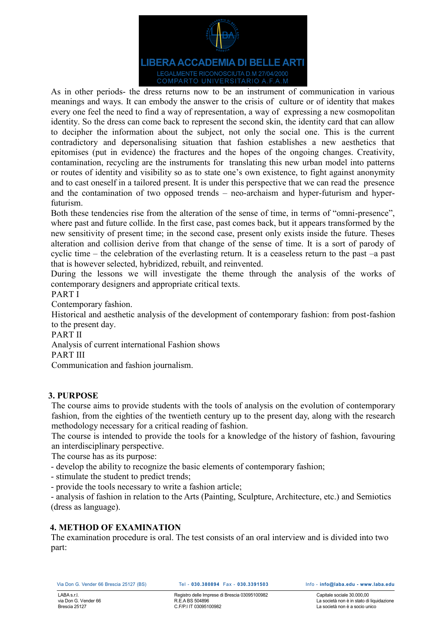

As in other periods- the dress returns now to be an instrument of communication in various meanings and ways. It can embody the answer to the crisis of culture or of identity that makes every one feel the need to find a way of representation, a way of expressing a new cosmopolitan identity. So the dress can come back to represent the second skin, the identity card that can allow to decipher the information about the subject, not only the social one. This is the current contradictory and depersonalising situation that fashion establishes a new aesthetics that epitomises (put in evidence) the fractures and the hopes of the ongoing changes. Creativity, contamination, recycling are the instruments for translating this new urban model into patterns or routes of identity and visibility so as to state one's own existence, to fight against anonymity and to cast oneself in a tailored present. It is under this perspective that we can read the presence and the contamination of two opposed trends – neo-archaism and hyper-futurism and hyperfuturism.

Both these tendencies rise from the alteration of the sense of time, in terms of "omni-presence", where past and future collide. In the first case, past comes back, but it appears transformed by the new sensitivity of present time; in the second case, present only exists inside the future. Theses alteration and collision derive from that change of the sense of time. It is a sort of parody of cyclic time – the celebration of the everlasting return. It is a ceaseless return to the past –a past that is however selected, hybridized, rebuilt, and reinvented.

During the lessons we will investigate the theme through the analysis of the works of contemporary designers and appropriate critical texts.

PART I

Contemporary fashion.

Historical and aesthetic analysis of the development of contemporary fashion: from post-fashion to the present day.

PART II

Analysis of current international Fashion shows

PART III

Communication and fashion journalism.

## **3. PURPOSE**

The course aims to provide students with the tools of analysis on the evolution of contemporary fashion, from the eighties of the twentieth century up to the present day, along with the research methodology necessary for a critical reading of fashion.

The course is intended to provide the tools for a knowledge of the history of fashion, favouring an interdisciplinary perspective.

The course has as its purpose:

- develop the ability to recognize the basic elements of contemporary fashion;

- stimulate the student to predict trends;

- provide the tools necessary to write a fashion article;

- analysis of fashion in relation to the Arts (Painting, Sculpture, Architecture, etc.) and Semiotics (dress as language).

# **4. METHOD OF EXAMINATION**

The examination procedure is oral. The test consists of an oral interview and is divided into two part: